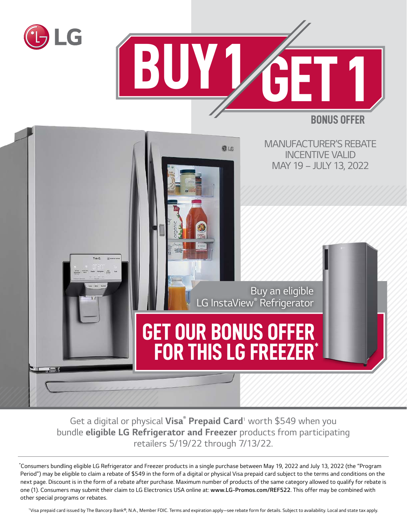



**BONUS OFFER**



*Get a digital or physical Visa® Prepaid Card<sup>1</sup> worth \$549 when you bundle eligible LG Refrigerator and Freezer products from participating retailers 5/19/22 through 7/13/22.*

*\* Consumers bundling eligible LG Refrigerator and Freezer products in a single purchase between May 19, 2022 and July 13, 2022 (the "Program Period") may be eligible to claim a rebate of \$549 in the form of a digital or physical Visa prepaid card subject to the terms and conditions on the next page. Discount is in the form of a rebate after purchase. Maximum number of products of the same category allowed to qualify for rebate is one (1). Consumers may submit their claim to LG Electronics USA online at: www.LG-Promos.com/REF522. This offer may be combined with other special programs or rebates.*

*1Visa prepaid card issued by The Bancorp Bank®, N.A., Member FDIC. Terms and expiration apply—see rebate form for details. Subject to availability. Local and state tax apply.*